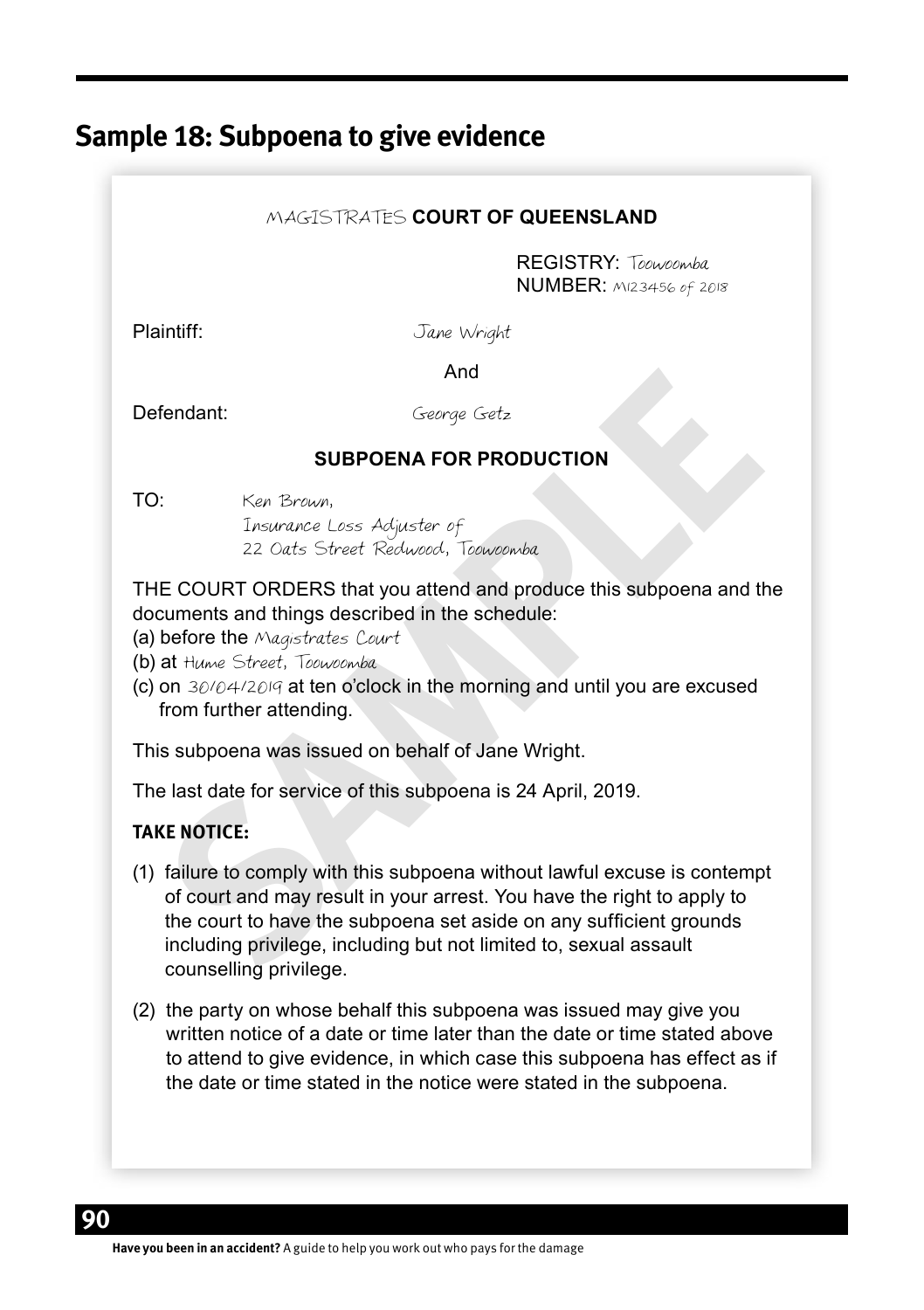# **Sample 18: Subpoena to give evidence**

#### MAGISTRATES **COURT OF QUEENSLAND**

REGISTRY: Toowoomba NUMBER: M123456 of 2018

Plaintiff: Jane Wright

**And And And** 

Defendant: George Getz

#### **SUBPOENA FOR PRODUCTION**

TO: Ken Brown,

Insurance Loss Adjuster of 22 Oats Street Redwood, Toowoomba

THE COURT ORDERS that you attend and produce this subpoena and the documents and things described in the schedule:

(a) before the Magistrates Court

(b) at Hume Street, Toowoomba

(c) on 30/04/2019 at ten o'clock in the morning and until you are excused from further attending.

This subpoena was issued on behalf of Jane Wright.

The last date for service of this subpoena is 24 April, 2019.

### **TAKE NOTICE:**

- And<br> **Steerage Getz**<br> **SUBPOENA FOR PRODUCTION**<br>
Insurance Loss Adjuster of<br>
ISOURT ORDERS that you attend and produce this subpoena and the<br>
ELE COURT ORDERS that you attend and produce this subpoena and the<br>
courrents an (1) failure to comply with this subpoena without lawful excuse is contempt of court and may result in your arrest. You have the right to apply to the court to have the subpoena set aside on any sufficient grounds including privilege, including but not limited to, sexual assault counselling privilege.
- (2) the party on whose behalf this subpoena was issued may give you written notice of a date or time later than the date or time stated above to attend to give evidence, in which case this subpoena has effect as if the date or time stated in the notice were stated in the subpoena.